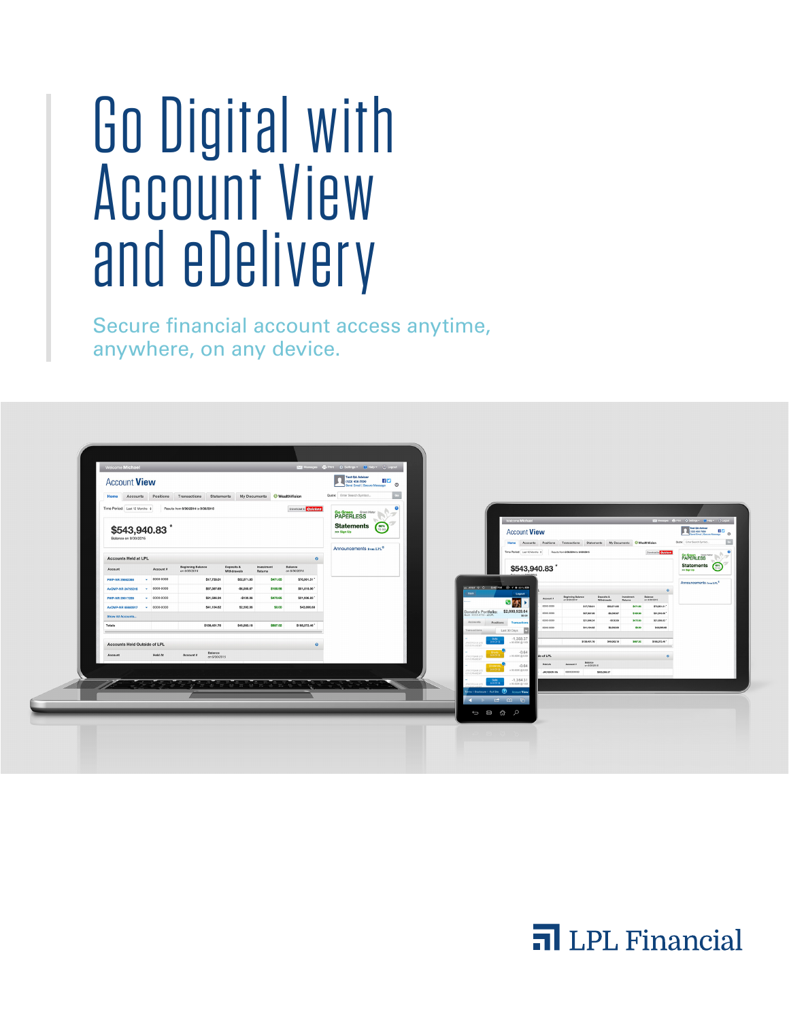# Go Digital with Account View and eDelivery

Secure financial account access anytime, anywhere, on any device.



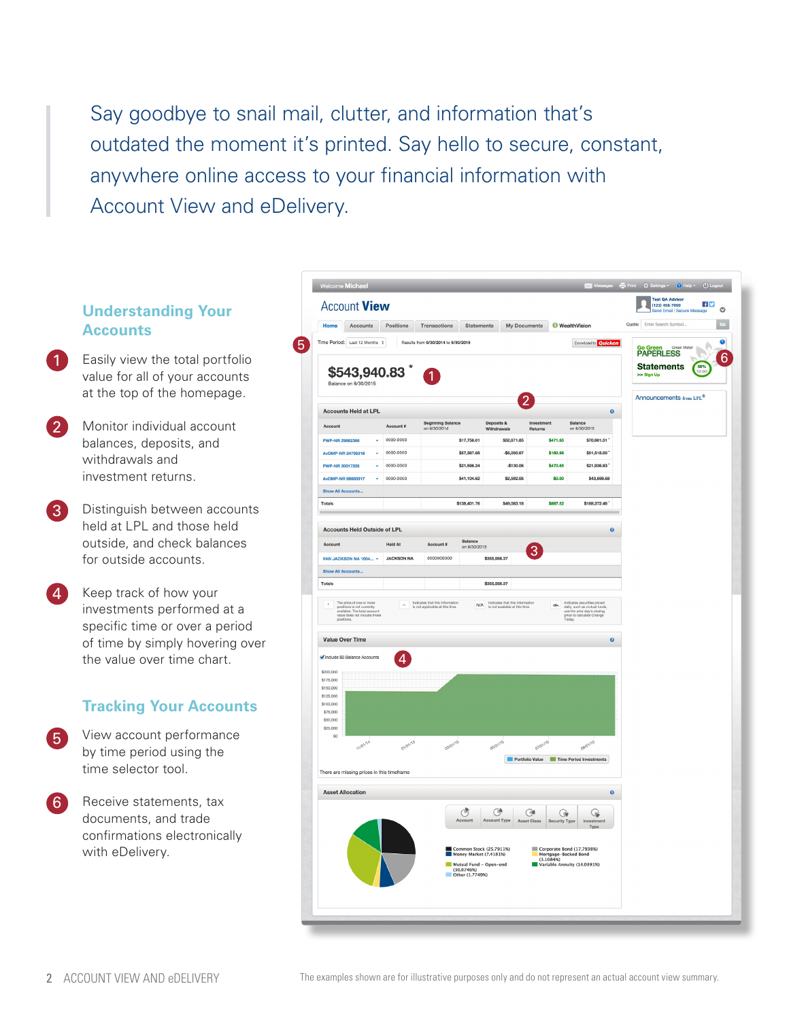Say goodbye to snail mail, clutter, and information that's outdated the moment it's printed. Say hello to secure, constant, anywhere online access to your financial information with Account View and eDelivery.

# **Understanding Your Accounts**

- Easily view the total portfolio value for all of your accounts at the top of the homepage. 1
- Monitor individual account balances, deposits, and withdrawals and investment returns. 2
- Distinguish between accounts held at LPL and those held outside, and check balances for outside accounts. 3
- Keep track of how your investments performed at a specific time or over a period of time by simply hovering over the value over time chart.  $\Lambda$

# **Tracking Your Accounts**

- View account performance by time period using the time selector tool.  $\sqrt{5}$
- Receive statements, tax documents, and trade confirmations electronically with eDelivery. 6

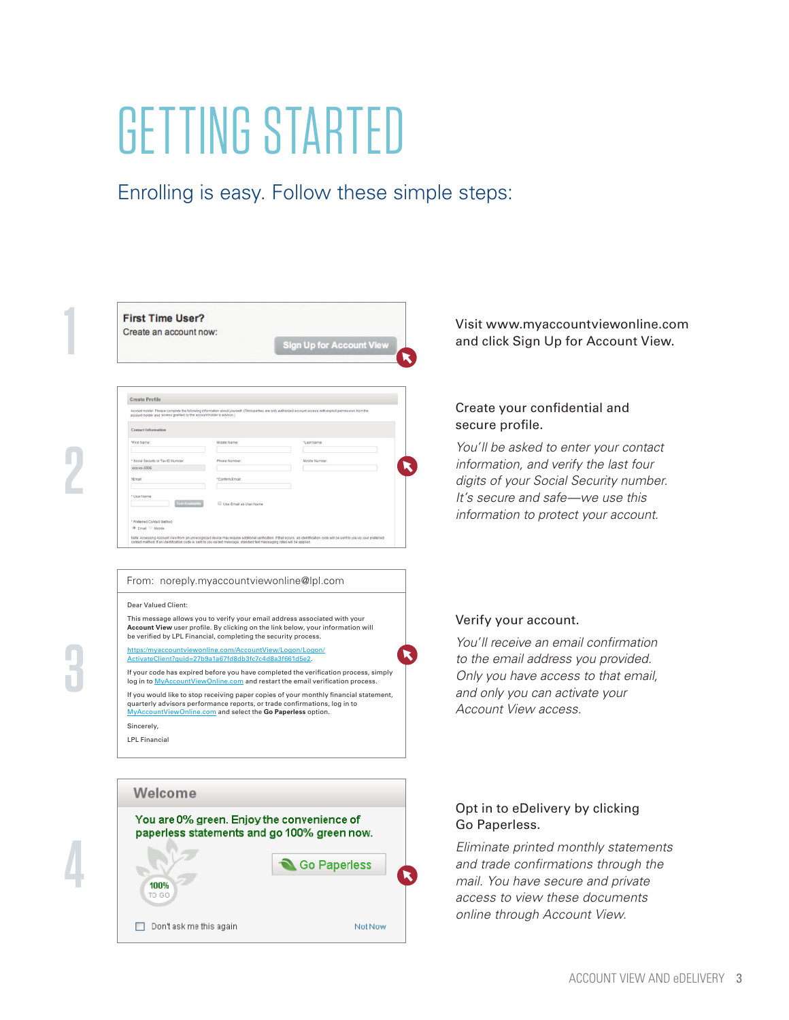# GETTING STARTED

Enrolling is easy. Follow these simple steps:

**3**

**4**

|  | <b>First Time User?</b><br>Create an account now: | Sign Up for Account View | Visit www.myaccountviewonline.co<br>and click Sign Up for Account View. |
|--|---------------------------------------------------|--------------------------|-------------------------------------------------------------------------|
|--|---------------------------------------------------|--------------------------|-------------------------------------------------------------------------|

| account holder and access granted by the account holder's advisor.) |                        | Account holder: Please complete the following information about yourself. (Third-parties are only authorized account access with explicit permission from the |
|---------------------------------------------------------------------|------------------------|---------------------------------------------------------------------------------------------------------------------------------------------------------------|
| <b>Contact Information</b>                                          |                        |                                                                                                                                                               |
| *First Name:                                                        | Middle Name:           | "Last Name:                                                                                                                                                   |
| * Social Security or Tax ID Number:                                 | Phone Number:          | Mobile Number:                                                                                                                                                |
| xxxxxx-5906                                                         |                        |                                                                                                                                                               |
| *Email:                                                             | *Confirm Email:        |                                                                                                                                                               |
| * User Name:                                                        |                        |                                                                                                                                                               |
| Test Availability                                                   | Use Fmail as User Name |                                                                                                                                                               |
| * Preferred Contact Method                                          |                        |                                                                                                                                                               |

#### From: noreply.myaccountviewonline@lpl.com

#### Dear Valued Client:

This message allows you to verify your email address associated with your **Account View** user profile. By clicking on the link below, your information will<br>be verified by LPL Financial, completing the security process.

untviewonline.com/AccountView/Logon/ ActivateClient?guid=27b9a1a67fd8db3fc7c4d8a3f661d5e2.

If your code has expired before you have completed the verification process, simply log in to **MyAccountViewOnline.com** and restart the email verification process.

If you would like to stop receiving paper copies of your monthly financial statement, quarterly advisors performance reports, or trade confirmations, log in to<br>MyAccountViewOnline com and select the Go Panerless ontion om and select the Go Paperless option.

Sincerely,

LPL Financial



# Visit www.myaccountviewonline.com

## Create your confidential and secure profile.

*You'll be asked to enter your contact information, and verify the last four digits of your Social Security number. It's secure and safe—we use this information to protect your account.*

### Verify your account.

*You'll receive an email confirmation to the email address you provided. Only you have access to that email, and only you can activate your Account View access.* 

### Opt in to eDelivery by clicking Go Paperless.

*Eliminate printed monthly statements and trade confirmations through the mail. You have secure and private access to view these documents online through Account View.*